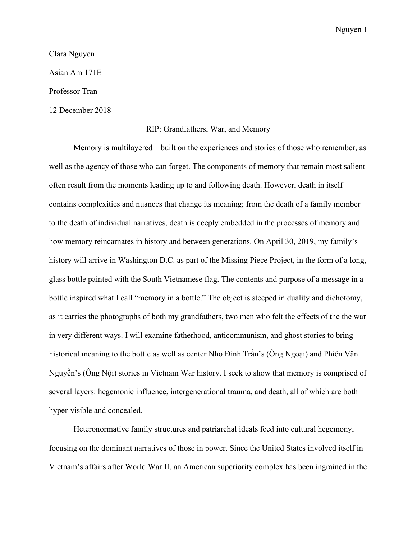## Clara Nguyen

Asian Am 171E

Professor Tran

12 December 2018

## RIP: Grandfathers, War, and Memory

Memory is multilayered—built on the experiences and stories of those who remember, as well as the agency of those who can forget. The components of memory that remain most salient often result from the moments leading up to and following death. However, death in itself contains complexities and nuances that change its meaning; from the death of a family member to the death of individual narratives, death is deeply embedded in the processes of memory and how memory reincarnates in history and between generations. On April 30, 2019, my family's history will arrive in Washington D.C. as part of the Missing Piece Project, in the form of a long, glass bottle painted with the South Vietnamese flag. The contents and purpose of a message in a bottle inspired what I call "memory in a bottle." The object is steeped in duality and dichotomy, as it carries the photographs of both my grandfathers, two men who felt the effects of the the war in very different ways. I will examine fatherhood, anticommunism, and ghost stories to bring historical meaning to the bottle as well as center Nho Đình Trần's (Ông Ngoại) and Phiên Văn Nguyễn's (Ông Nội) stories in Vietnam War history. I seek to show that memory is comprised of several layers: hegemonic influence, intergenerational trauma, and death, all of which are both hyper-visible and concealed.

Heteronormative family structures and patriarchal ideals feed into cultural hegemony, focusing on the dominant narratives of those in power. Since the United States involved itself in Vietnam's affairs after World War II, an American superiority complex has been ingrained in the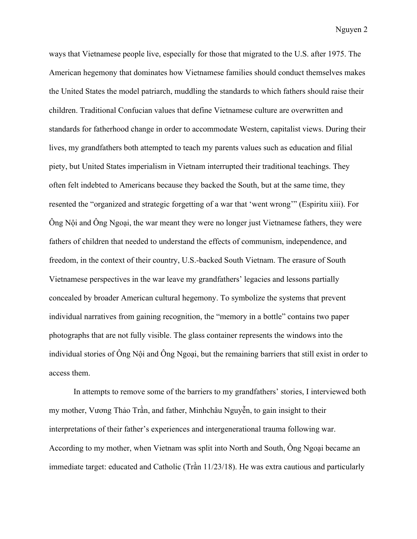ways that Vietnamese people live, especially for those that migrated to the U.S. after 1975. The American hegemony that dominates how Vietnamese families should conduct themselves makes the United States the model patriarch, muddling the standards to which fathers should raise their children. Traditional Confucian values that define Vietnamese culture are overwritten and standards for fatherhood change in order to accommodate Western, capitalist views. During their lives, my grandfathers both attempted to teach my parents values such as education and filial piety, but United States imperialism in Vietnam interrupted their traditional teachings. They often felt indebted to Americans because they backed the South, but at the same time, they resented the "organized and strategic forgetting of a war that 'went wrong'" (Espiritu xiii). For Ông Nội and Ông Ngoại, the war meant they were no longer just Vietnamese fathers, they were fathers of children that needed to understand the effects of communism, independence, and freedom, in the context of their country, U.S.-backed South Vietnam. The erasure of South Vietnamese perspectives in the war leave my grandfathers' legacies and lessons partially concealed by broader American cultural hegemony. To symbolize the systems that prevent individual narratives from gaining recognition, the "memory in a bottle" contains two paper photographs that are not fully visible. The glass container represents the windows into the individual stories of Ông Nội and Ông Ngoại, but the remaining barriers that still exist in order to access them.

In attempts to remove some of the barriers to my grandfathers' stories, I interviewed both my mother, Vương Thảo Trần, and father, Minhchâu Nguyễn, to gain insight to their interpretations of their father's experiences and intergenerational trauma following war. According to my mother, when Vietnam was split into North and South, Ông Ngoại became an immediate target: educated and Catholic (Trần 11/23/18). He was extra cautious and particularly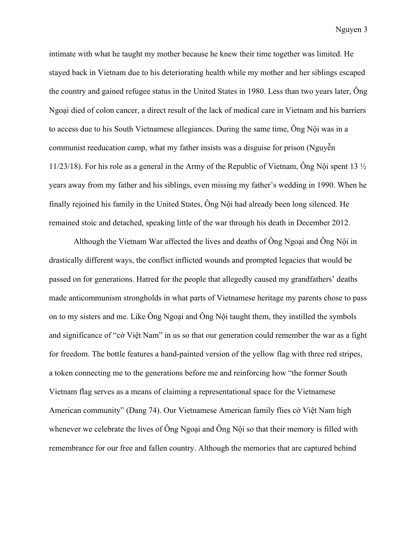intimate with what he taught my mother because he knew their time together was limited. He stayed back in Vietnam due to his deteriorating health while my mother and her siblings escaped the country and gained refugee status in the United States in 1980. Less than two years later, Ông Ngoại died of colon cancer, a direct result of the lack of medical care in Vietnam and his barriers to access due to his South Vietnamese allegiances. During the same time, Ông Nội was in a communist reeducation camp, what my father insists was a disguise for prison (Nguyễn 11/23/18). For his role as a general in the Army of the Republic of Vietnam, Ông Nội spent 13  $\frac{1}{2}$ years away from my father and his siblings, even missing my father's wedding in 1990. When he finally rejoined his family in the United States, Ông Nội had already been long silenced. He remained stoic and detached, speaking little of the war through his death in December 2012.

Although the Vietnam War affected the lives and deaths of Ông Ngoại and Ông Nội in drastically different ways, the conflict inflicted wounds and prompted legacies that would be passed on for generations. Hatred for the people that allegedly caused my grandfathers' deaths made anticommunism strongholds in what parts of Vietnamese heritage my parents chose to pass on to my sisters and me. Like Ông Ngoại and Ông Nội taught them, they instilled the symbols and significance of "cờ Việt Nam" in us so that our generation could remember the war as a fight for freedom. The bottle features a hand-painted version of the yellow flag with three red stripes, a token connecting me to the generations before me and reinforcing how "the former South Vietnam flag serves as a means of claiming a representational space for the Vietnamese American community" (Dang 74). Our Vietnamese American family flies cờ Việt Nam high whenever we celebrate the lives of  $\hat{O}$ ng Ngoai and  $\hat{O}$ ng N $\hat{O}$ i so that their memory is filled with remembrance for our free and fallen country. Although the memories that are captured behind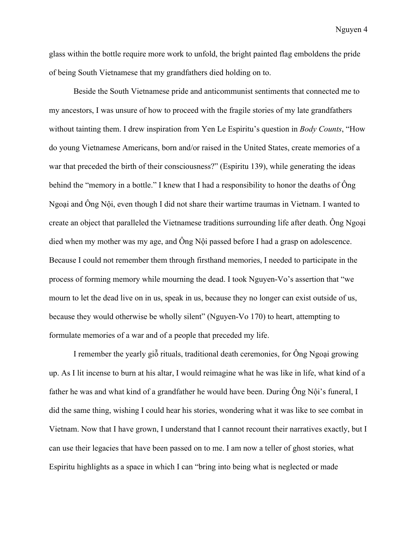glass within the bottle require more work to unfold, the bright painted flag emboldens the pride of being South Vietnamese that my grandfathers died holding on to.

Beside the South Vietnamese pride and anticommunist sentiments that connected me to my ancestors, I was unsure of how to proceed with the fragile stories of my late grandfathers without tainting them. I drew inspiration from Yen Le Espiritu's question in *Body Counts*, "How do young Vietnamese Americans, born and/or raised in the United States, create memories of a war that preceded the birth of their consciousness?" (Espiritu 139), while generating the ideas behind the "memory in a bottle." I knew that I had a responsibility to honor the deaths of Ông Ngoại and Ông Nội, even though I did not share their wartime traumas in Vietnam. I wanted to create an object that paralleled the Vietnamese traditions surrounding life after death. Ông Ngoại died when my mother was my age, and Ông Nội passed before I had a grasp on adolescence. Because I could not remember them through firsthand memories, I needed to participate in the process of forming memory while mourning the dead. I took Nguyen-Vo's assertion that "we mourn to let the dead live on in us, speak in us, because they no longer can exist outside of us, because they would otherwise be wholly silent" (Nguyen-Vo 170) to heart, attempting to formulate memories of a war and of a people that preceded my life.

I remember the yearly giỗ rituals, traditional death ceremonies, for Ông Ngoại growing up. As I lit incense to burn at his altar, I would reimagine what he was like in life, what kind of a father he was and what kind of a grandfather he would have been. During Ông Nội's funeral, I did the same thing, wishing I could hear his stories, wondering what it was like to see combat in Vietnam. Now that I have grown, I understand that I cannot recount their narratives exactly, but I can use their legacies that have been passed on to me. I am now a teller of ghost stories, what Espiritu highlights as a space in which I can "bring into being what is neglected or made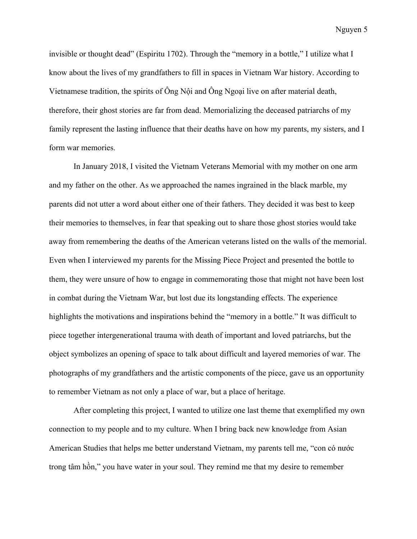invisible or thought dead" (Espiritu 1702). Through the "memory in a bottle," I utilize what I know about the lives of my grandfathers to fill in spaces in Vietnam War history. According to Vietnamese tradition, the spirits of Ông Nội and Ông Ngoại live on after material death, therefore, their ghost stories are far from dead. Memorializing the deceased patriarchs of my family represent the lasting influence that their deaths have on how my parents, my sisters, and I form war memories.

In January 2018, I visited the Vietnam Veterans Memorial with my mother on one arm and my father on the other. As we approached the names ingrained in the black marble, my parents did not utter a word about either one of their fathers. They decided it was best to keep their memories to themselves, in fear that speaking out to share those ghost stories would take away from remembering the deaths of the American veterans listed on the walls of the memorial. Even when I interviewed my parents for the Missing Piece Project and presented the bottle to them, they were unsure of how to engage in commemorating those that might not have been lost in combat during the Vietnam War, but lost due its longstanding effects. The experience highlights the motivations and inspirations behind the "memory in a bottle." It was difficult to piece together intergenerational trauma with death of important and loved patriarchs, but the object symbolizes an opening of space to talk about difficult and layered memories of war. The photographs of my grandfathers and the artistic components of the piece, gave us an opportunity to remember Vietnam as not only a place of war, but a place of heritage.

After completing this project, I wanted to utilize one last theme that exemplified my own connection to my people and to my culture. When I bring back new knowledge from Asian American Studies that helps me better understand Vietnam, my parents tell me, "con có nước trong tâm hồn," you have water in your soul. They remind me that my desire to remember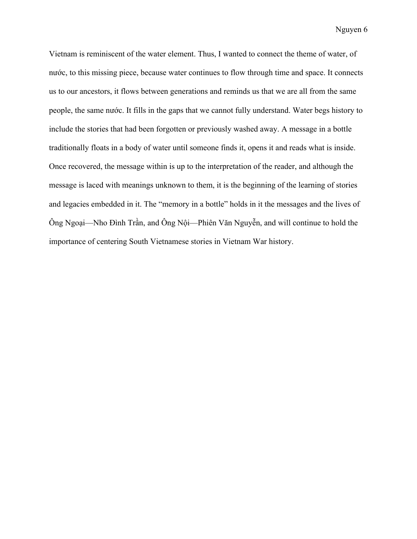Vietnam is reminiscent of the water element. Thus, I wanted to connect the theme of water, of nước, to this missing piece, because water continues to flow through time and space. It connects us to our ancestors, it flows between generations and reminds us that we are all from the same people, the same nước. It fills in the gaps that we cannot fully understand. Water begs history to include the stories that had been forgotten or previously washed away. A message in a bottle traditionally floats in a body of water until someone finds it, opens it and reads what is inside. Once recovered, the message within is up to the interpretation of the reader, and although the message is laced with meanings unknown to them, it is the beginning of the learning of stories and legacies embedded in it. The "memory in a bottle" holds in it the messages and the lives of Ông Ngoại—Nho Đình Trần, and Ông Nội—Phiên Văn Nguyễn, and will continue to hold the importance of centering South Vietnamese stories in Vietnam War history.